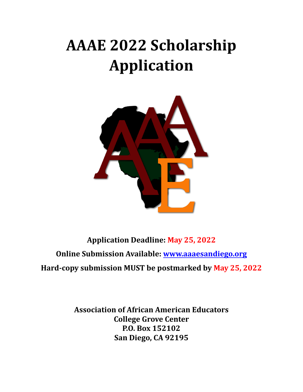# **AAAE 2022 Scholarship Application**



**Application Deadline: May 25, 2022 Online Submission Available: [www.aaaesandiego.org](http://www.aaaesandiego.org) Hard-copy submission MUST be postmarked by May 25, 2022**

> **Association of African American Educators College Grove Center P.O. Box 152102 San Diego, CA 92195**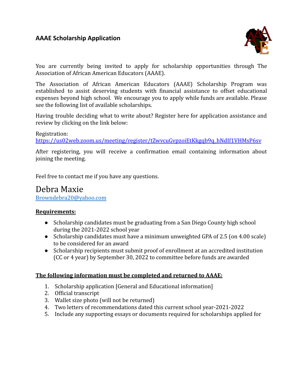

You are currently being invited to apply for scholarship opportunities through The Association of African American Educators (AAAE).

The Association of African American Educators (AAAE) Scholarship Program was established to assist deserving students with financial assistance to offset educational expenses beyond high school. We encourage you to apply while funds are available. Please see the following list of available scholarships.

Having trouble deciding what to write about? Register here for application assistance and review by clicking on the link below:

## Registration:

[https://us02web.zoom.us/meeting/register/tZwvcuGvpzoiEtKkgqb9q\\_hNdIf1VHMsP6sv](https://us02web.zoom.us/meeting/register/tZwvcuGvpzoiEtKkgqb9q_hNdIf1VHMsP6sv)

After registering, you will receive a confirmation email containing information about joining the meeting.

Feel free to contact me if you have any questions.

## Debra Maxie [Browndebra20@yahoo.com](mailto:Browndebra20@yahoo.com)

#### **Requirements:**

- Scholarship candidates must be graduating from a San Diego County high school during the 2021-2022 school year
- Scholarship candidates must have a minimum unweighted GPA of 2.5 (on 4.00 scale) to be considered for an award
- Scholarship recipients must submit proof of enrollment at an accredited institution (CC or 4 year) by September 30, 2022 to committee before funds are awarded

#### **The following information must be completed and returned to AAAE:**

- 1. Scholarship application [General and Educational information]
- 2. Official transcript
- 3. Wallet size photo (will not be returned)
- 4. Two letters of recommendations dated this current school year-2021-2022
- 5. Include any supporting essays or documents required for scholarships applied for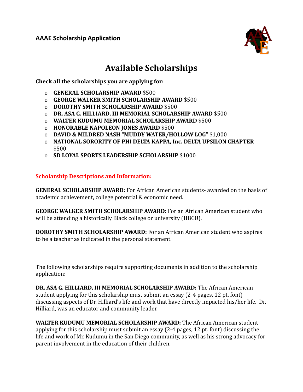

## **Available Scholarships**

**Check all the scholarships you are applying for:**

- o **GENERAL SCHOLARSHIP AWARD** \$500
- o **GEORGE WALKER SMITH SCHOLARSHIP AWARD** \$500
- o **DOROTHY SMITH SCHOLARSHIP AWARD** \$500
- o **DR. ASA G. HILLIARD, III MEMORIAL SCHOLARSHIP AWARD** \$500
- o **WALTER KUDUMU MEMORIAL SCHOLARSHIP AWARD** \$500
- o **HONORABLE NAPOLEON JONES AWARD** \$500
- o **DAVID & MILDRED NASH "MUDDY WATER/HOLLOW LOG"** \$1,000
- o **NATIONAL SORORITY OF PHI DELTA KAPPA, Inc. DELTA UPSILON CHAPTER** \$500
- o **SD LOYAL SPORTS LEADERSHIP SCHOLARSHIP** \$1000

**Scholarship Descriptions and Information:**

**GENERAL SCHOLARSHIP AWARD:** For African American students- awarded on the basis of academic achievement, college potential & economic need.

**GEORGE WALKER SMITH SCHOLARSHIP AWARD:** For an African American student who will be attending a historically Black college or university (HBCU).

**DOROTHY SMITH SCHOLARSHIP AWARD:** For an African American student who aspires to be a teacher as indicated in the personal statement.

The following scholarships require supporting documents in addition to the scholarship application:

**DR. ASA G. HILLIARD, III MEMORIAL SCHOLARSHIP AWARD:** The African American student applying for this scholarship must submit an essay (2-4 pages, 12 pt. font) discussing aspects of Dr. Hilliard's life and work that have directly impacted his/her life. Dr. Hilliard, was an educator and community leader.

**WALTER KUDUMU MEMORIAL SCHOLARSHIP AWARD:** The African American student applying for this scholarship must submit an essay (2-4 pages, 12 pt. font) discussing the life and work of Mr. Kudumu in the San Diego community, as well as his strong advocacy for parent involvement in the education of their children.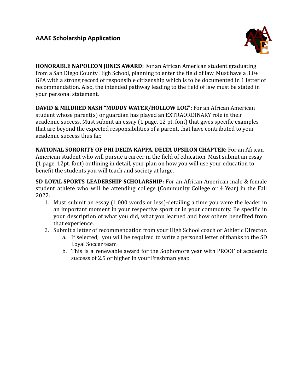

**HONORABLE NAPOLEON JONES AWARD:** For an African American student graduating from a San Diego County High School, planning to enter the field of law. Must have a 3.0+ GPA with a strong record of responsible citizenship which is to be documented in 1 letter of recommendation. Also, the intended pathway leading to the field of law must be stated in your personal statement.

**DAVID & MILDRED NASH "MUDDY WATER/HOLLOW LOG":** For an African American student whose parent(s) or guardian has played an EXTRAORDINARY role in their academic success. Must submit an essay (1 page, 12 pt. font) that gives specific examples that are beyond the expected responsibilities of a parent, that have contributed to your academic success thus far.

**NATIONAL SORORITY OF PHI DELTA KAPPA, DELTA UPSILON CHAPTER:** For an African American student who will pursue a career in the field of education. Must submit an essay (1 page, 12pt. font) outlining in detail, your plan on how you will use your education to benefit the students you will teach and society at large.

**SD LOYAL SPORTS LEADERSHIP SCHOLARSHIP:** For an African American male & female student athlete who will be attending college (Community College or 4 Year) in the Fall 2022.

- 1. Must submit an essay (1,000 words or less) detailing a time you were the leader in an important moment in your respective sport or in your community. Be specific in your description of what you did, what you learned and how others benefited from that experience.
- 2. Submit a letter of recommendation from your High School coach or Athletic Director.
	- a. If selected, you will be required to write a personal letter of thanks to the SD Loyal Soccer team
	- b. This is a renewable award for the Sophomore year with PROOF of academic success of 2.5 or higher in your Freshman year.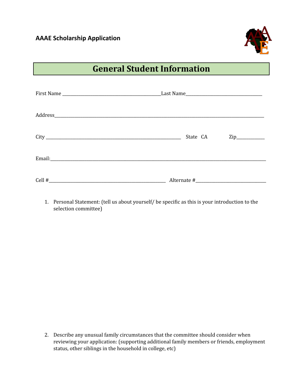

## **General Student Information**

| State CA | $\mathsf{Zip}\_$ |  |  |
|----------|------------------|--|--|
|          |                  |  |  |
|          |                  |  |  |

1. Personal Statement: (tell us about yourself/ be specific as this is your introduction to the selection committee)

2. Describe any unusual family circumstances that the committee should consider when reviewing your application: (supporting additional family members or friends, employment status, other siblings in the household in college, etc)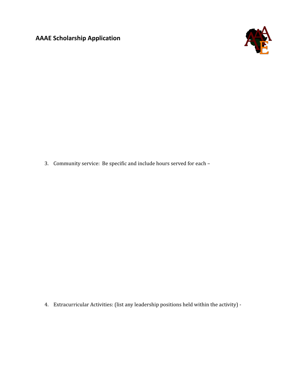

3. Community service: Be specific and include hours served for each –

4. Extracurricular Activities: (list any leadership positions held within the activity) -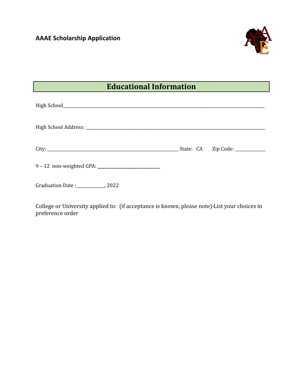

## **Educational Information**

| Graduation Date: ______________, 2022 |  |
|---------------------------------------|--|

College or University applied to: (if acceptance is known, please note) List your choices in preference order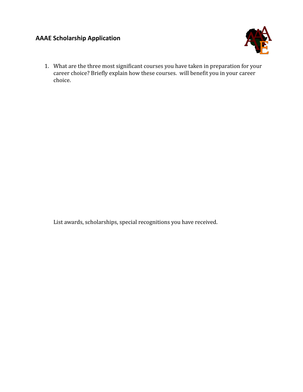

1. What are the three most significant courses you have taken in preparation for your career choice? Briefly explain how these courses. will benefit you in your career choice.

List awards, scholarships, special recognitions you have received.